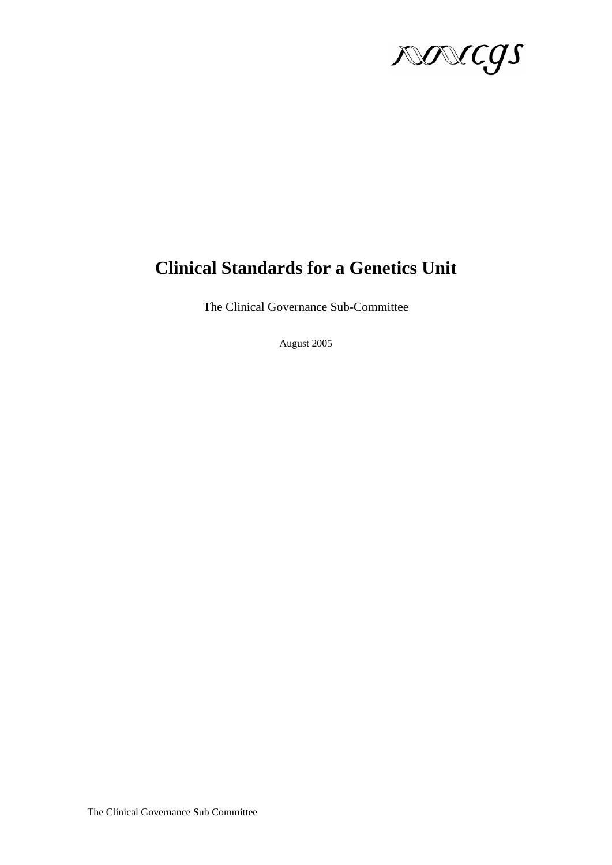

# **Clinical Standards for a Genetics Unit**

The Clinical Governance Sub-Committee

August 2005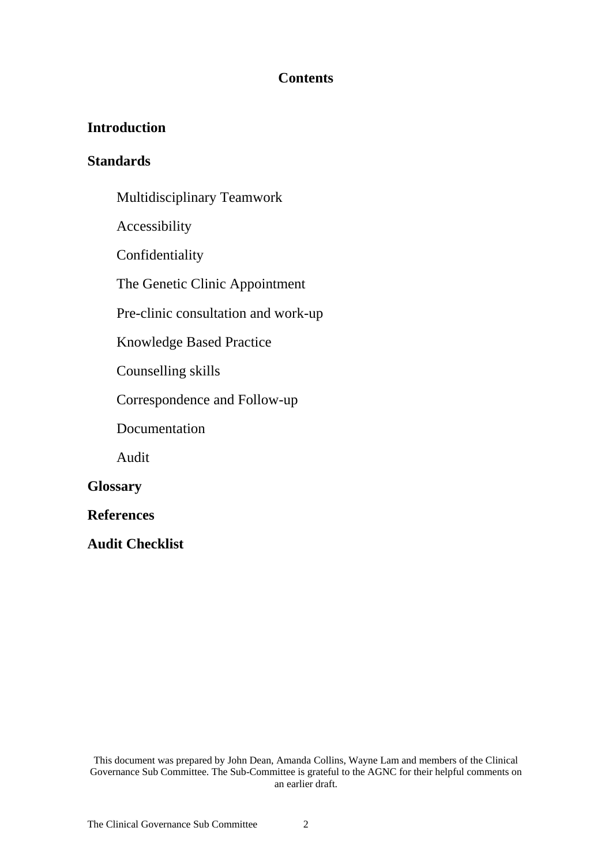### **Contents**

## **Introduction**

### **Standards**

- Multidisciplinary Teamwork
- Accessibility
- Confidentiality
- The Genetic Clinic Appointment
- Pre-clinic consultation and work-up
- Knowledge Based Practice
- Counselling skills
- Correspondence and Follow-up
- Documentation
- Audit

### **Glossary**

- **References**
- **Audit Checklist**

This document was prepared by John Dean, Amanda Collins, Wayne Lam and members of the Clinical Governance Sub Committee. The Sub-Committee is grateful to the AGNC for their helpful comments on an earlier draft.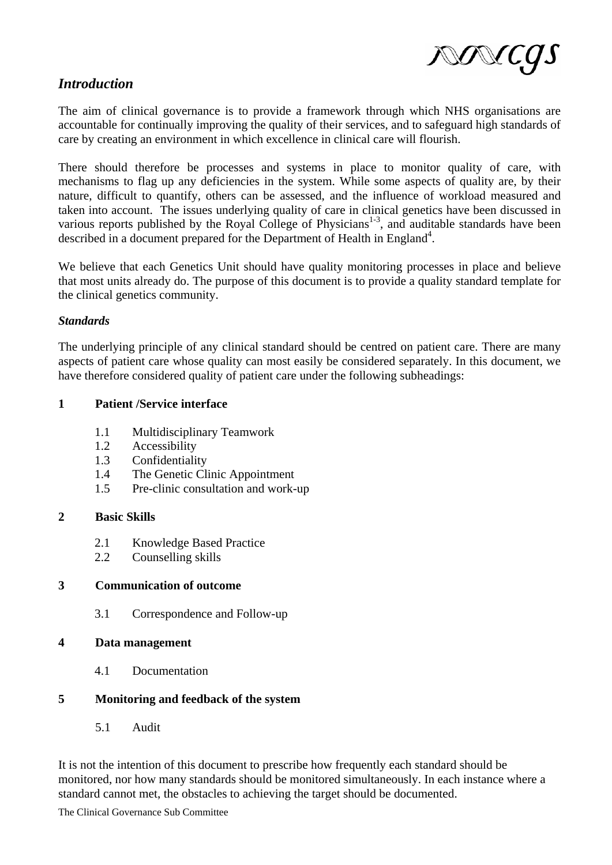

### *Introduction*

The aim of clinical governance is to provide a framework through which NHS organisations are accountable for continually improving the quality of their services, and to safeguard high standards of care by creating an environment in which excellence in clinical care will flourish.

There should therefore be processes and systems in place to monitor quality of care, with mechanisms to flag up any deficiencies in the system. While some aspects of quality are, by their nature, difficult to quantify, others can be assessed, and the influence of workload measured and taken into account. The issues underlying quality of care in clinical genetics have been discussed in various reports published by the Royal College of Physicians<sup>1-3</sup>, and auditable standards have been described in a document prepared for the Department of Health in England<sup>4</sup>.

We believe that each Genetics Unit should have quality monitoring processes in place and believe that most units already do. The purpose of this document is to provide a quality standard template for the clinical genetics community.

#### *Standards*

The underlying principle of any clinical standard should be centred on patient care. There are many aspects of patient care whose quality can most easily be considered separately. In this document, we have therefore considered quality of patient care under the following subheadings:

#### **1 Patient /Service interface**

- 1.1 Multidisciplinary Teamwork
- 1.2 Accessibility
- 1.3 Confidentiality
- 1.4 The Genetic Clinic Appointment
- 1.5 Pre-clinic consultation and work-up

#### **2 Basic Skills**

- 2.1 Knowledge Based Practice
- 2.2 Counselling skills

#### **3 Communication of outcome**

3.1 Correspondence and Follow-up

#### **4 Data management**

4.1 Documentation

### **5 Monitoring and feedback of the system**

5.1 Audit

It is not the intention of this document to prescribe how frequently each standard should be monitored, nor how many standards should be monitored simultaneously. In each instance where a standard cannot met, the obstacles to achieving the target should be documented.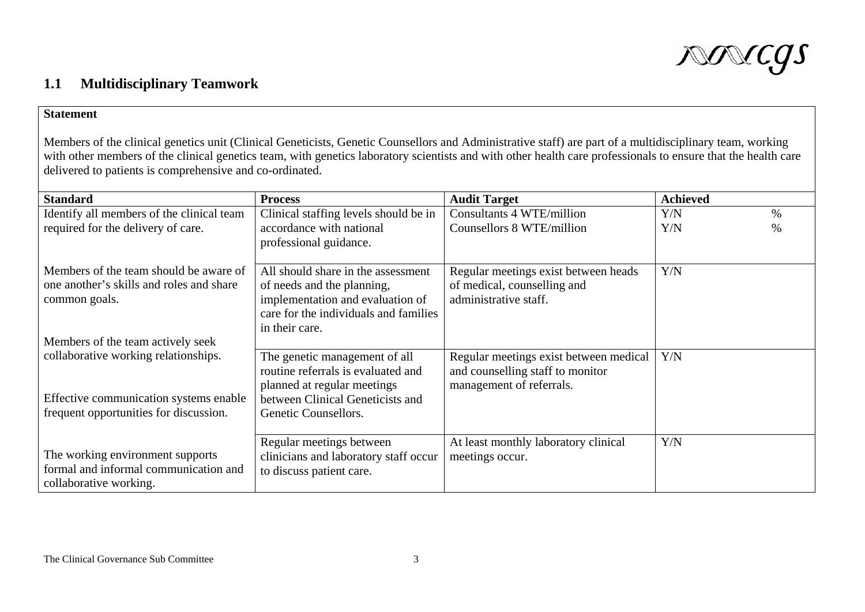

# **1.1 Multidisciplinary Teamwork**

#### **Statement**

Members of the clinical genetics unit (Clinical Geneticists, Genetic Counsellors and Administrative staff) are part of a multidisciplinary team, working with other members of the clinical genetics team, with genetics laboratory scientists and with other health care professionals to ensure that the health care delivered to patients is comprehensive and co-ordinated.

| <b>Standard</b>                                                                                     | <b>Process</b>                                                                                                                                                  | <b>Audit Target</b>                                                                                    | <b>Achieved</b>         |
|-----------------------------------------------------------------------------------------------------|-----------------------------------------------------------------------------------------------------------------------------------------------------------------|--------------------------------------------------------------------------------------------------------|-------------------------|
| Identify all members of the clinical team<br>required for the delivery of care.                     | Clinical staffing levels should be in<br>accordance with national<br>professional guidance.                                                                     | Consultants 4 WTE/million<br>Counsellors 8 WTE/million                                                 | Y/N<br>$\%$<br>Y/N<br>% |
| Members of the team should be aware of<br>one another's skills and roles and share<br>common goals. | All should share in the assessment<br>of needs and the planning,<br>implementation and evaluation of<br>care for the individuals and families<br>in their care. | Regular meetings exist between heads<br>of medical, counselling and<br>administrative staff.           | Y/N                     |
| Members of the team actively seek                                                                   |                                                                                                                                                                 |                                                                                                        |                         |
| collaborative working relationships.                                                                | The genetic management of all<br>routine referrals is evaluated and<br>planned at regular meetings                                                              | Regular meetings exist between medical<br>and counselling staff to monitor<br>management of referrals. | Y/N                     |
| Effective communication systems enable                                                              | between Clinical Geneticists and                                                                                                                                |                                                                                                        |                         |
| frequent opportunities for discussion.                                                              | Genetic Counsellors.                                                                                                                                            |                                                                                                        |                         |
|                                                                                                     | Regular meetings between                                                                                                                                        | At least monthly laboratory clinical                                                                   | Y/N                     |
| The working environment supports                                                                    | clinicians and laboratory staff occur                                                                                                                           | meetings occur.                                                                                        |                         |
| formal and informal communication and<br>collaborative working.                                     | to discuss patient care.                                                                                                                                        |                                                                                                        |                         |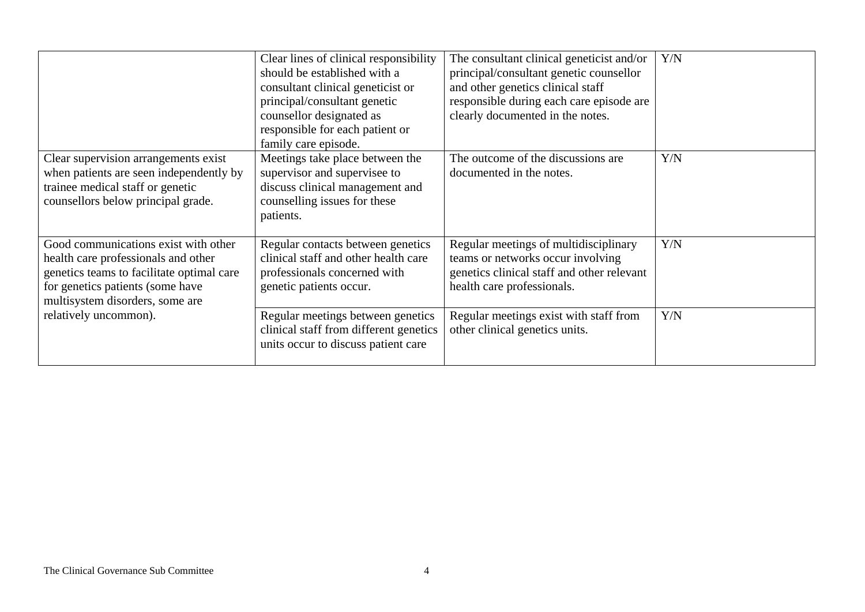|                                                                                                                                                                                                 | Clear lines of clinical responsibility<br>should be established with a<br>consultant clinical geneticist or<br>principal/consultant genetic<br>counsellor designated as<br>responsible for each patient or<br>family care episode. | The consultant clinical geneticist and/or<br>principal/consultant genetic counsellor<br>and other genetics clinical staff<br>responsible during each care episode are<br>clearly documented in the notes. | Y/N |
|-------------------------------------------------------------------------------------------------------------------------------------------------------------------------------------------------|------------------------------------------------------------------------------------------------------------------------------------------------------------------------------------------------------------------------------------|-----------------------------------------------------------------------------------------------------------------------------------------------------------------------------------------------------------|-----|
| Clear supervision arrangements exist<br>when patients are seen independently by<br>trainee medical staff or genetic<br>counsellors below principal grade.                                       | Meetings take place between the<br>supervisor and supervisee to<br>discuss clinical management and<br>counselling issues for these<br>patients.                                                                                    | The outcome of the discussions are<br>documented in the notes.                                                                                                                                            | Y/N |
| Good communications exist with other<br>health care professionals and other<br>genetics teams to facilitate optimal care<br>for genetics patients (some have<br>multisystem disorders, some are | Regular contacts between genetics<br>clinical staff and other health care<br>professionals concerned with<br>genetic patients occur.                                                                                               | Regular meetings of multidisciplinary<br>teams or networks occur involving<br>genetics clinical staff and other relevant<br>health care professionals.                                                    | Y/N |
| relatively uncommon).                                                                                                                                                                           | Regular meetings between genetics<br>clinical staff from different genetics<br>units occur to discuss patient care                                                                                                                 | Regular meetings exist with staff from<br>other clinical genetics units.                                                                                                                                  | Y/N |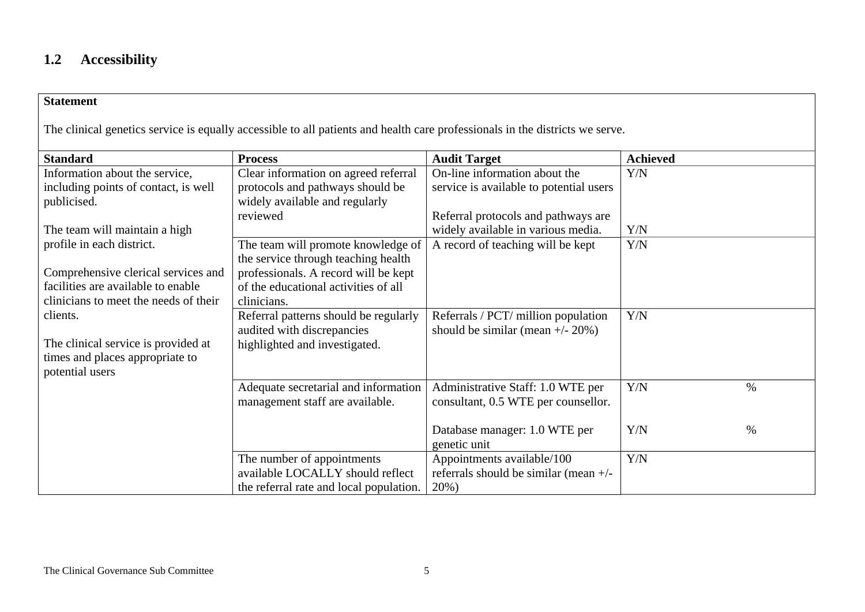# **1.2 Accessibility**

#### **Statement**

The clinical genetics service is equally accessible to all patients and health care professionals in the districts we serve.

| <b>Standard</b>                       | <b>Process</b>                          | <b>Audit Target</b>                     | <b>Achieved</b> |
|---------------------------------------|-----------------------------------------|-----------------------------------------|-----------------|
| Information about the service,        | Clear information on agreed referral    | On-line information about the           | Y/N             |
| including points of contact, is well  | protocols and pathways should be        | service is available to potential users |                 |
| publicised.                           | widely available and regularly          |                                         |                 |
|                                       | reviewed                                | Referral protocols and pathways are     |                 |
| The team will maintain a high         |                                         | widely available in various media.      | Y/N             |
| profile in each district.             | The team will promote knowledge of      | A record of teaching will be kept       | Y/N             |
|                                       | the service through teaching health     |                                         |                 |
| Comprehensive clerical services and   | professionals. A record will be kept    |                                         |                 |
| facilities are available to enable    | of the educational activities of all    |                                         |                 |
| clinicians to meet the needs of their | clinicians.                             |                                         |                 |
| clients.                              | Referral patterns should be regularly   | Referrals / PCT/ million population     | Y/N             |
|                                       | audited with discrepancies              | should be similar (mean $+/- 20\%$ )    |                 |
| The clinical service is provided at   | highlighted and investigated.           |                                         |                 |
| times and places appropriate to       |                                         |                                         |                 |
| potential users                       |                                         |                                         |                 |
|                                       | Adequate secretarial and information    | Administrative Staff: 1.0 WTE per       | Y/N<br>$\%$     |
|                                       | management staff are available.         | consultant, 0.5 WTE per counsellor.     |                 |
|                                       |                                         |                                         |                 |
|                                       |                                         | Database manager: 1.0 WTE per           | Y/N<br>$\%$     |
|                                       |                                         | genetic unit                            |                 |
|                                       | The number of appointments              | Appointments available/100              | Y/N             |
|                                       | available LOCALLY should reflect        | referrals should be similar (mean $+/-$ |                 |
|                                       | the referral rate and local population. | 20%)                                    |                 |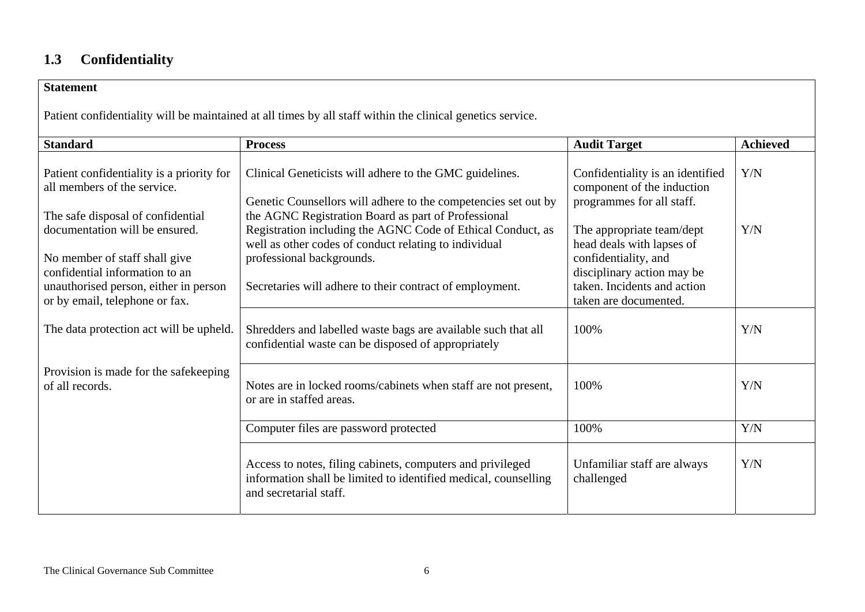# **1.3 Confidentiality**

| <b>Statement</b>                                                                                                                                                             |                                                                                                                                                                                                               |                                                                                                                                                                      |                 |  |  |
|------------------------------------------------------------------------------------------------------------------------------------------------------------------------------|---------------------------------------------------------------------------------------------------------------------------------------------------------------------------------------------------------------|----------------------------------------------------------------------------------------------------------------------------------------------------------------------|-----------------|--|--|
| Patient confidentiality will be maintained at all times by all staff within the clinical genetics service.                                                                   |                                                                                                                                                                                                               |                                                                                                                                                                      |                 |  |  |
| <b>Standard</b>                                                                                                                                                              | <b>Process</b>                                                                                                                                                                                                | <b>Audit Target</b>                                                                                                                                                  | <b>Achieved</b> |  |  |
| Patient confidentiality is a priority for<br>all members of the service.<br>The safe disposal of confidential                                                                | Clinical Geneticists will adhere to the GMC guidelines.<br>Genetic Counsellors will adhere to the competencies set out by<br>the AGNC Registration Board as part of Professional                              | Confidentiality is an identified<br>component of the induction<br>programmes for all staff.                                                                          | Y/N             |  |  |
| documentation will be ensured.<br>No member of staff shall give<br>confidential information to an<br>unauthorised person, either in person<br>or by email, telephone or fax. | Registration including the AGNC Code of Ethical Conduct, as<br>well as other codes of conduct relating to individual<br>professional backgrounds.<br>Secretaries will adhere to their contract of employment. | The appropriate team/dept<br>head deals with lapses of<br>confidentiality, and<br>disciplinary action may be<br>taken. Incidents and action<br>taken are documented. | Y/N             |  |  |
| The data protection act will be upheld.                                                                                                                                      | Shredders and labelled waste bags are available such that all<br>confidential waste can be disposed of appropriately                                                                                          | 100%                                                                                                                                                                 | Y/N             |  |  |
| Provision is made for the safekeeping<br>of all records.                                                                                                                     | Notes are in locked rooms/cabinets when staff are not present,<br>or are in staffed areas.                                                                                                                    | 100%                                                                                                                                                                 | Y/N             |  |  |
|                                                                                                                                                                              | Computer files are password protected                                                                                                                                                                         | 100%                                                                                                                                                                 | Y/N             |  |  |
|                                                                                                                                                                              | Access to notes, filing cabinets, computers and privileged<br>information shall be limited to identified medical, counselling<br>and secretarial staff.                                                       | Unfamiliar staff are always<br>challenged                                                                                                                            | Y/N             |  |  |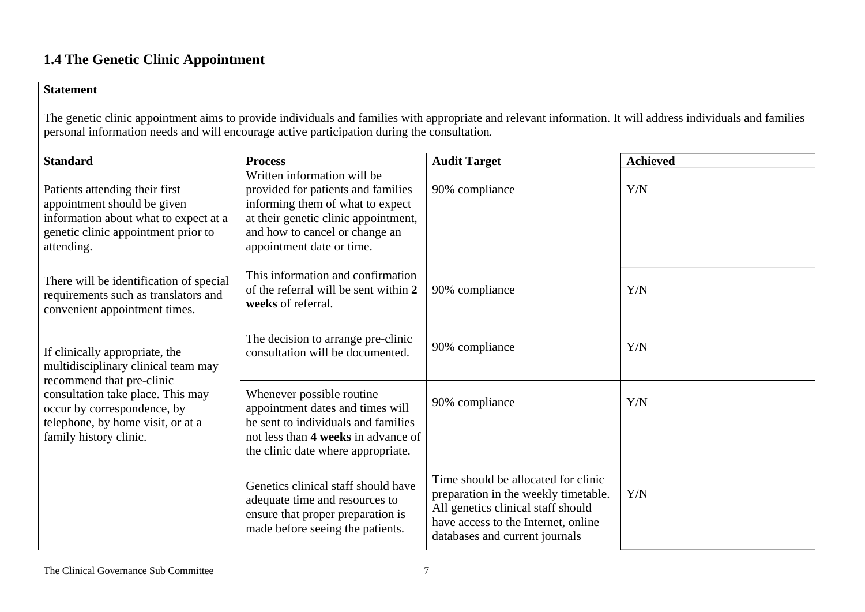# **1.4 The Genetic Clinic Appointment**

#### **Statement**

The genetic clinic appointment aims to provide individuals and families with appropriate and relevant information. It will address individuals and families personal information needs and will encourage active participation during the consultation.

| <b>Standard</b>                                                                                                                                              | <b>Process</b>                                                                                                                                                                                               | <b>Audit Target</b>                                                                                                                                                                        | <b>Achieved</b> |
|--------------------------------------------------------------------------------------------------------------------------------------------------------------|--------------------------------------------------------------------------------------------------------------------------------------------------------------------------------------------------------------|--------------------------------------------------------------------------------------------------------------------------------------------------------------------------------------------|-----------------|
| Patients attending their first<br>appointment should be given<br>information about what to expect at a<br>genetic clinic appointment prior to<br>attending.  | Written information will be<br>provided for patients and families<br>informing them of what to expect<br>at their genetic clinic appointment,<br>and how to cancel or change an<br>appointment date or time. | 90% compliance                                                                                                                                                                             | Y/N             |
| There will be identification of special<br>requirements such as translators and<br>convenient appointment times.                                             | This information and confirmation<br>of the referral will be sent within 2<br>weeks of referral.                                                                                                             | 90% compliance                                                                                                                                                                             | Y/N             |
| If clinically appropriate, the<br>multidisciplinary clinical team may                                                                                        | The decision to arrange pre-clinic<br>consultation will be documented.                                                                                                                                       | 90% compliance                                                                                                                                                                             | Y/N             |
| recommend that pre-clinic<br>consultation take place. This may<br>occur by correspondence, by<br>telephone, by home visit, or at a<br>family history clinic. | Whenever possible routine<br>appointment dates and times will<br>be sent to individuals and families<br>not less than 4 weeks in advance of<br>the clinic date where appropriate.                            | 90% compliance                                                                                                                                                                             | Y/N             |
|                                                                                                                                                              | Genetics clinical staff should have<br>adequate time and resources to<br>ensure that proper preparation is<br>made before seeing the patients.                                                               | Time should be allocated for clinic<br>preparation in the weekly timetable.<br>All genetics clinical staff should<br>have access to the Internet, online<br>databases and current journals | Y/N             |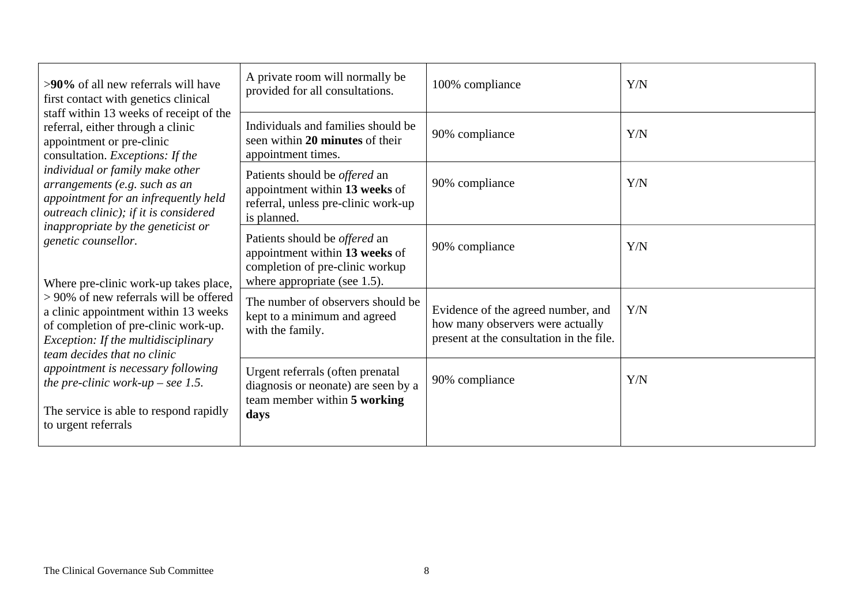| >90% of all new referrals will have<br>first contact with genetics clinical<br>staff within 13 weeks of receipt of the<br>referral, either through a clinic<br>appointment or pre-clinic<br>consultation. Exceptions: If the<br>individual or family make other<br>arrangements (e.g. such as an<br>appointment for an infrequently held<br>outreach clinic); if it is considered<br>inappropriate by the geneticist or<br>genetic counsellor.<br>Where pre-clinic work-up takes place,<br>> 90% of new referrals will be offered<br>a clinic appointment within 13 weeks<br>of completion of pre-clinic work-up.<br>Exception: If the multidisciplinary<br>team decides that no clinic<br>appointment is necessary following<br>the pre-clinic work-up – see 1.5.<br>The service is able to respond rapidly<br>to urgent referrals | A private room will normally be<br>provided for all consultations.                                                                        | 100% compliance                                                                                                    | Y/N |
|-------------------------------------------------------------------------------------------------------------------------------------------------------------------------------------------------------------------------------------------------------------------------------------------------------------------------------------------------------------------------------------------------------------------------------------------------------------------------------------------------------------------------------------------------------------------------------------------------------------------------------------------------------------------------------------------------------------------------------------------------------------------------------------------------------------------------------------|-------------------------------------------------------------------------------------------------------------------------------------------|--------------------------------------------------------------------------------------------------------------------|-----|
|                                                                                                                                                                                                                                                                                                                                                                                                                                                                                                                                                                                                                                                                                                                                                                                                                                     | Individuals and families should be<br>seen within 20 minutes of their<br>appointment times.                                               | 90% compliance                                                                                                     | Y/N |
|                                                                                                                                                                                                                                                                                                                                                                                                                                                                                                                                                                                                                                                                                                                                                                                                                                     | Patients should be <i>offered</i> an<br>appointment within 13 weeks of<br>referral, unless pre-clinic work-up<br>is planned.              | 90% compliance                                                                                                     | Y/N |
|                                                                                                                                                                                                                                                                                                                                                                                                                                                                                                                                                                                                                                                                                                                                                                                                                                     | Patients should be <i>offered</i> an<br>appointment within 13 weeks of<br>completion of pre-clinic workup<br>where appropriate (see 1.5). | 90% compliance                                                                                                     | Y/N |
|                                                                                                                                                                                                                                                                                                                                                                                                                                                                                                                                                                                                                                                                                                                                                                                                                                     | The number of observers should be<br>kept to a minimum and agreed<br>with the family.                                                     | Evidence of the agreed number, and<br>how many observers were actually<br>present at the consultation in the file. | Y/N |
|                                                                                                                                                                                                                                                                                                                                                                                                                                                                                                                                                                                                                                                                                                                                                                                                                                     | Urgent referrals (often prenatal<br>diagnosis or neonate) are seen by a<br>team member within 5 working<br>days                           | 90% compliance                                                                                                     | Y/N |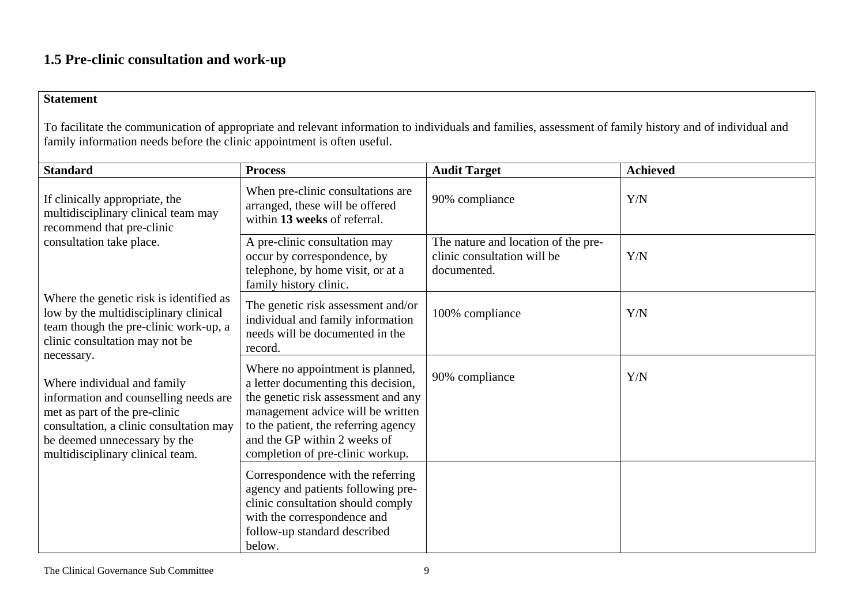# **1.5 Pre-clinic consultation and work-up**

#### **Statement**

To facilitate the communication of appropriate and relevant information to individuals and families, assessment of family history and of individual and family information needs before the clinic appointment is often useful.

| <b>Standard</b>                                                                                                                                                                                                      | <b>Process</b>                                                                                                                                                                                                                                                  | <b>Audit Target</b>                                                               | <b>Achieved</b> |
|----------------------------------------------------------------------------------------------------------------------------------------------------------------------------------------------------------------------|-----------------------------------------------------------------------------------------------------------------------------------------------------------------------------------------------------------------------------------------------------------------|-----------------------------------------------------------------------------------|-----------------|
| If clinically appropriate, the<br>multidisciplinary clinical team may<br>recommend that pre-clinic<br>consultation take place.                                                                                       | When pre-clinic consultations are<br>arranged, these will be offered<br>within 13 weeks of referral.                                                                                                                                                            | 90% compliance                                                                    | Y/N             |
|                                                                                                                                                                                                                      | A pre-clinic consultation may<br>occur by correspondence, by<br>telephone, by home visit, or at a<br>family history clinic.                                                                                                                                     | The nature and location of the pre-<br>clinic consultation will be<br>documented. | Y/N             |
| Where the genetic risk is identified as<br>low by the multidisciplinary clinical<br>team though the pre-clinic work-up, a<br>clinic consultation may not be<br>necessary.                                            | The genetic risk assessment and/or<br>individual and family information<br>needs will be documented in the<br>record.                                                                                                                                           | 100% compliance                                                                   | Y/N             |
| Where individual and family<br>information and counselling needs are<br>met as part of the pre-clinic<br>consultation, a clinic consultation may<br>be deemed unnecessary by the<br>multidisciplinary clinical team. | Where no appointment is planned,<br>a letter documenting this decision,<br>the genetic risk assessment and any<br>management advice will be written<br>to the patient, the referring agency<br>and the GP within 2 weeks of<br>completion of pre-clinic workup. | 90% compliance                                                                    | Y/N             |
|                                                                                                                                                                                                                      | Correspondence with the referring<br>agency and patients following pre-<br>clinic consultation should comply<br>with the correspondence and<br>follow-up standard described<br>below.                                                                           |                                                                                   |                 |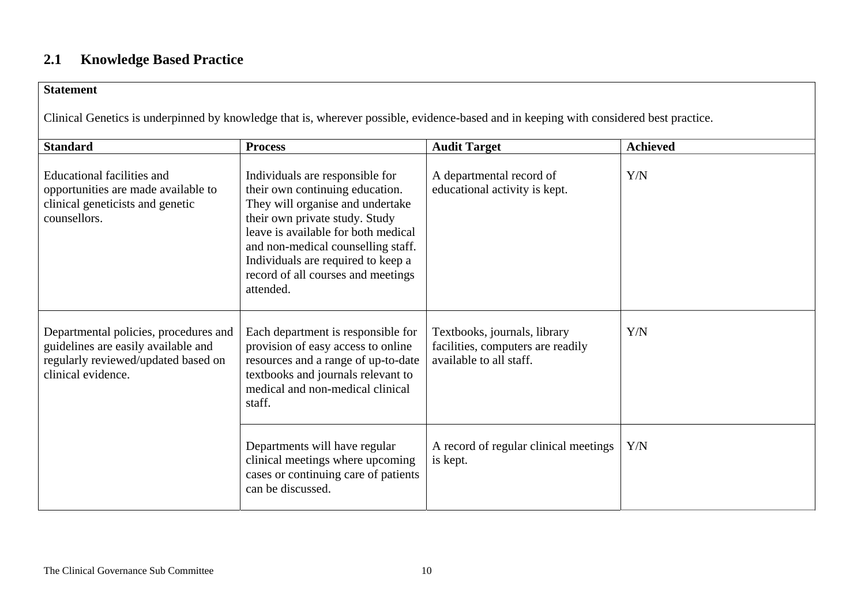# **2.1 Knowledge Based Practice**

#### **Statement**

Clinical Genetics is underpinned by knowledge that is, wherever possible, evidence-based and in keeping with considered best practice.

| <b>Standard</b>                                                                                                                           | <b>Process</b>                                                                                                                                                                                                                                                                                                 | <b>Audit Target</b>                                                                          | <b>Achieved</b> |
|-------------------------------------------------------------------------------------------------------------------------------------------|----------------------------------------------------------------------------------------------------------------------------------------------------------------------------------------------------------------------------------------------------------------------------------------------------------------|----------------------------------------------------------------------------------------------|-----------------|
| <b>Educational facilities and</b><br>opportunities are made available to<br>clinical geneticists and genetic<br>counsellors.              | Individuals are responsible for<br>their own continuing education.<br>They will organise and undertake<br>their own private study. Study<br>leave is available for both medical<br>and non-medical counselling staff.<br>Individuals are required to keep a<br>record of all courses and meetings<br>attended. | A departmental record of<br>educational activity is kept.                                    | Y/N             |
| Departmental policies, procedures and<br>guidelines are easily available and<br>regularly reviewed/updated based on<br>clinical evidence. | Each department is responsible for<br>provision of easy access to online<br>resources and a range of up-to-date<br>textbooks and journals relevant to<br>medical and non-medical clinical<br>staff.                                                                                                            | Textbooks, journals, library<br>facilities, computers are readily<br>available to all staff. | Y/N             |
|                                                                                                                                           | Departments will have regular<br>clinical meetings where upcoming<br>cases or continuing care of patients<br>can be discussed.                                                                                                                                                                                 | A record of regular clinical meetings<br>is kept.                                            | Y/N             |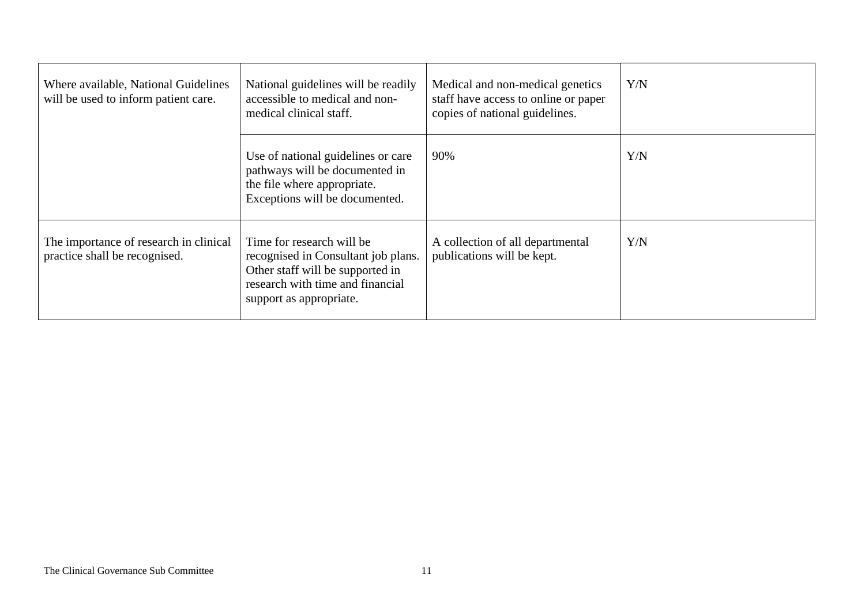| Where available, National Guidelines<br>will be used to inform patient care. | National guidelines will be readily<br>accessible to medical and non-<br>medical clinical staff.                                                                    | Medical and non-medical genetics<br>staff have access to online or paper<br>copies of national guidelines. | Y/N |
|------------------------------------------------------------------------------|---------------------------------------------------------------------------------------------------------------------------------------------------------------------|------------------------------------------------------------------------------------------------------------|-----|
|                                                                              | Use of national guidelines or care<br>pathways will be documented in<br>the file where appropriate.<br>Exceptions will be documented.                               | 90%                                                                                                        | Y/N |
| The importance of research in clinical<br>practice shall be recognised.      | Time for research will be<br>recognised in Consultant job plans.<br>Other staff will be supported in<br>research with time and financial<br>support as appropriate. | A collection of all departmental<br>publications will be kept.                                             | Y/N |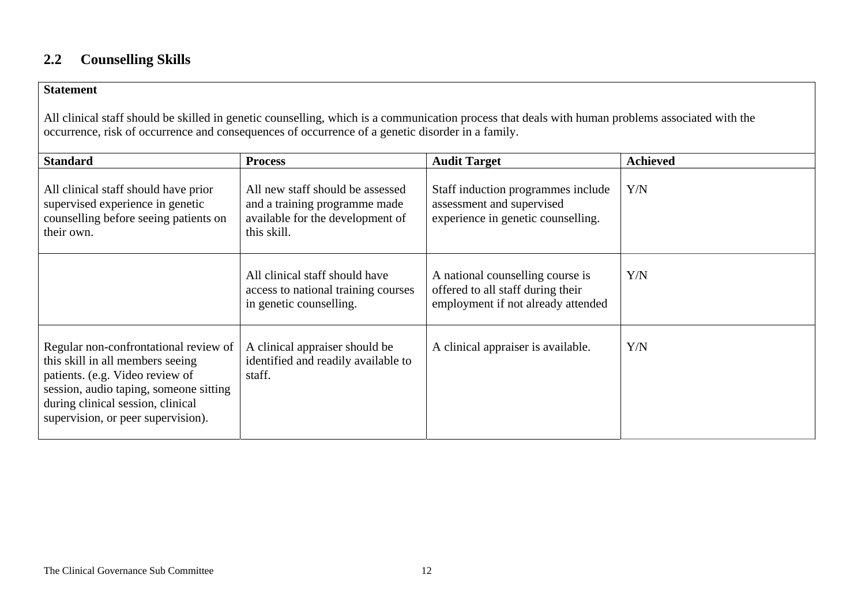# **2.2 Counselling Skills**

#### **Statement**

All clinical staff should be skilled in genetic counselling, which is a communication process that deals with human problems associated with the occurrence, risk of occurrence and consequences of occurrence of a genetic disorder in a family.

| <b>Standard</b>                                                                                                                                                                                                                   | <b>Process</b>                                                                                                       | <b>Audit Target</b>                                                                                         | <b>Achieved</b> |
|-----------------------------------------------------------------------------------------------------------------------------------------------------------------------------------------------------------------------------------|----------------------------------------------------------------------------------------------------------------------|-------------------------------------------------------------------------------------------------------------|-----------------|
| All clinical staff should have prior<br>supervised experience in genetic<br>counselling before seeing patients on<br>their own.                                                                                                   | All new staff should be assessed<br>and a training programme made<br>available for the development of<br>this skill. | Staff induction programmes include<br>assessment and supervised<br>experience in genetic counselling.       | Y/N             |
|                                                                                                                                                                                                                                   | All clinical staff should have<br>access to national training courses<br>in genetic counselling.                     | A national counselling course is<br>offered to all staff during their<br>employment if not already attended | Y/N             |
| Regular non-confrontational review of<br>this skill in all members seeing<br>patients. (e.g. Video review of<br>session, audio taping, someone sitting<br>during clinical session, clinical<br>supervision, or peer supervision). | A clinical appraiser should be<br>identified and readily available to<br>staff.                                      | A clinical appraiser is available.                                                                          | Y/N             |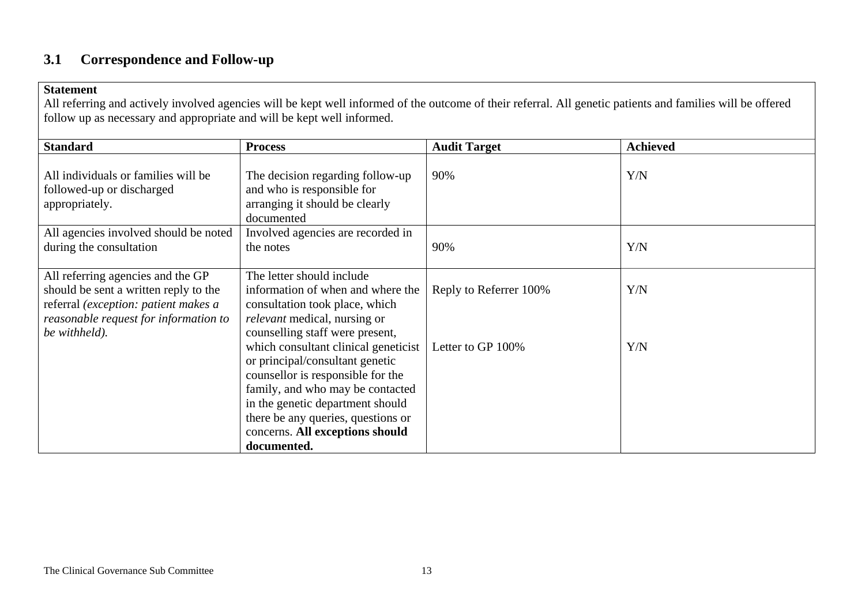# **3.1 Correspondence and Follow-up**

#### **Statement**

All referring and actively involved agencies will be kept well informed of the outcome of their referral. All genetic patients and families will be offered follow up as necessary and appropriate and will be kept well informed.

| <b>Process</b>                                                                                                                                                                                                                                                | <b>Audit Target</b>    | <b>Achieved</b> |
|---------------------------------------------------------------------------------------------------------------------------------------------------------------------------------------------------------------------------------------------------------------|------------------------|-----------------|
| The decision regarding follow-up<br>and who is responsible for<br>arranging it should be clearly<br>documented                                                                                                                                                | 90%                    | Y/N             |
| Involved agencies are recorded in<br>the notes                                                                                                                                                                                                                | 90%                    | Y/N             |
| The letter should include<br>information of when and where the<br>consultation took place, which<br><i>relevant</i> medical, nursing or<br>counselling staff were present,                                                                                    | Reply to Referrer 100% | Y/N             |
| which consultant clinical geneticist<br>or principal/consultant genetic<br>counsellor is responsible for the<br>family, and who may be contacted<br>in the genetic department should<br>there be any queries, questions or<br>concerns. All exceptions should | Letter to GP 100%      | Y/N             |
| All agencies involved should be noted                                                                                                                                                                                                                         | documented.            |                 |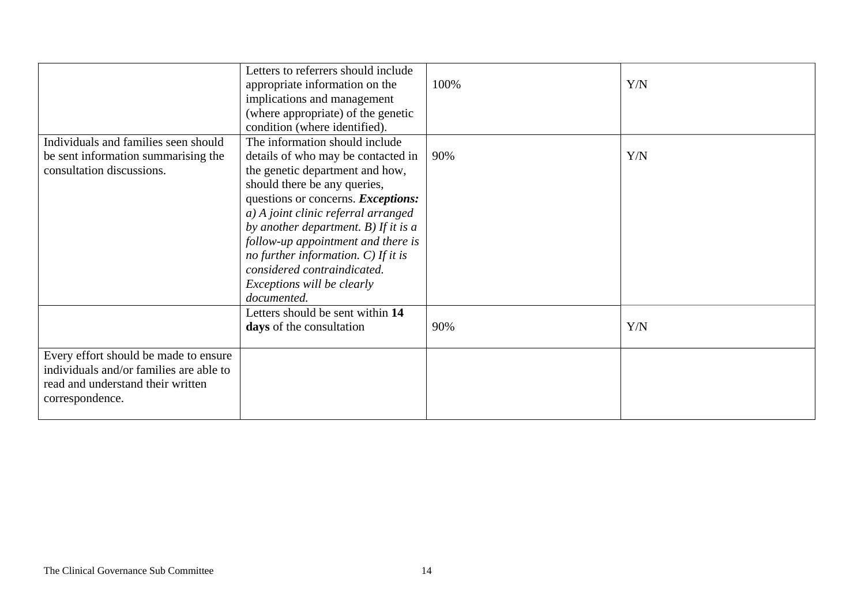|                                                                                                                                          | Letters to referrers should include<br>appropriate information on the<br>implications and management<br>(where appropriate) of the genetic<br>condition (where identified).                                                                                                                                                                                                                                                | 100% | Y/N |
|------------------------------------------------------------------------------------------------------------------------------------------|----------------------------------------------------------------------------------------------------------------------------------------------------------------------------------------------------------------------------------------------------------------------------------------------------------------------------------------------------------------------------------------------------------------------------|------|-----|
| Individuals and families seen should<br>be sent information summarising the<br>consultation discussions.                                 | The information should include<br>details of who may be contacted in<br>the genetic department and how,<br>should there be any queries,<br>questions or concerns. Exceptions:<br>a) A joint clinic referral arranged<br>by another department. B) If it is $a$<br>follow-up appointment and there is<br>no further information. $C$ ) If it is<br>considered contraindicated.<br>Exceptions will be clearly<br>documented. | 90%  | Y/N |
|                                                                                                                                          | Letters should be sent within 14<br>days of the consultation                                                                                                                                                                                                                                                                                                                                                               | 90%  | Y/N |
| Every effort should be made to ensure<br>individuals and/or families are able to<br>read and understand their written<br>correspondence. |                                                                                                                                                                                                                                                                                                                                                                                                                            |      |     |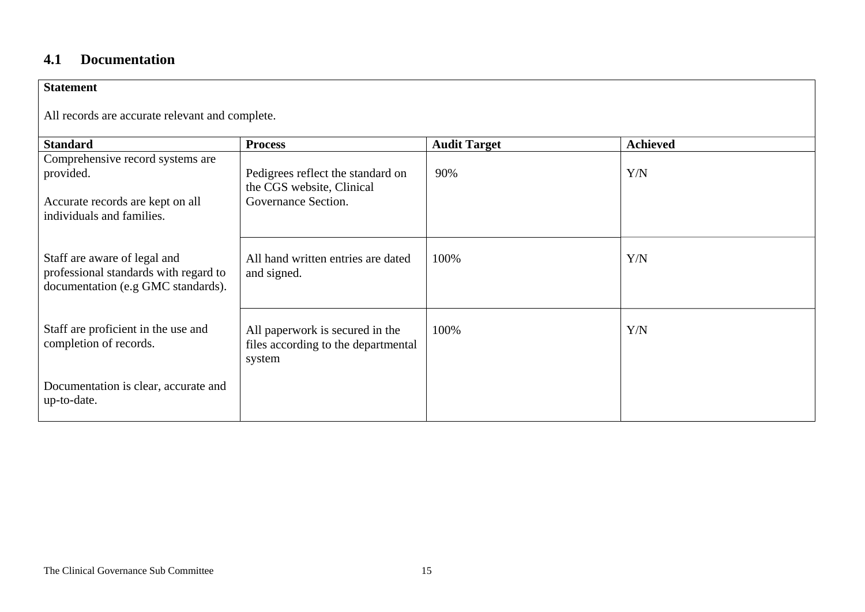### **4.1 Documentation**

| <b>Statement</b>                                                                                            |                                                                                  |                     |                 |  |  |
|-------------------------------------------------------------------------------------------------------------|----------------------------------------------------------------------------------|---------------------|-----------------|--|--|
| All records are accurate relevant and complete.                                                             |                                                                                  |                     |                 |  |  |
| <b>Standard</b>                                                                                             | <b>Process</b>                                                                   | <b>Audit Target</b> | <b>Achieved</b> |  |  |
| Comprehensive record systems are<br>provided.                                                               | Pedigrees reflect the standard on<br>the CGS website, Clinical                   | 90%                 | Y/N             |  |  |
| Accurate records are kept on all<br>individuals and families.                                               | Governance Section.                                                              |                     |                 |  |  |
| Staff are aware of legal and<br>professional standards with regard to<br>documentation (e.g GMC standards). | All hand written entries are dated<br>and signed.                                | 100%                | Y/N             |  |  |
| Staff are proficient in the use and<br>completion of records.                                               | All paperwork is secured in the<br>files according to the departmental<br>system | 100%                | Y/N             |  |  |
| Documentation is clear, accurate and<br>up-to-date.                                                         |                                                                                  |                     |                 |  |  |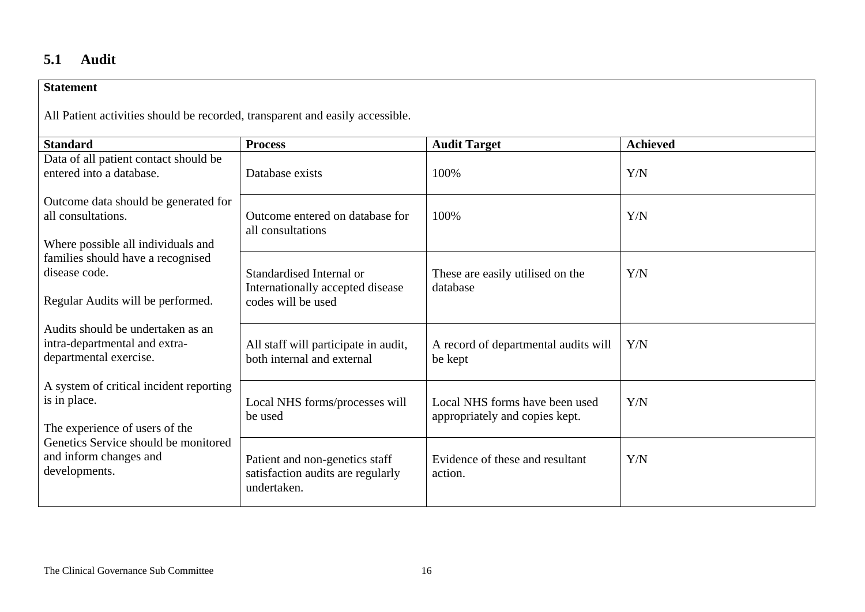## **5.1 Audit**

| <b>Statement</b>                                                              |                                                  |                                              |                 |  |  |
|-------------------------------------------------------------------------------|--------------------------------------------------|----------------------------------------------|-----------------|--|--|
| All Patient activities should be recorded, transparent and easily accessible. |                                                  |                                              |                 |  |  |
| <b>Standard</b>                                                               | <b>Process</b>                                   | <b>Audit Target</b>                          | <b>Achieved</b> |  |  |
| Data of all patient contact should be<br>entered into a database.             | Database exists                                  | 100%                                         | Y/N             |  |  |
| Outcome data should be generated for                                          |                                                  |                                              |                 |  |  |
| all consultations.                                                            | Outcome entered on database for                  | 100%                                         | Y/N             |  |  |
| Where possible all individuals and                                            | all consultations                                |                                              |                 |  |  |
| families should have a recognised<br>disease code.                            | Standardised Internal or                         |                                              |                 |  |  |
|                                                                               | Internationally accepted disease                 | These are easily utilised on the<br>database | Y/N             |  |  |
| Regular Audits will be performed.                                             | codes will be used                               |                                              |                 |  |  |
| Audits should be undertaken as an                                             |                                                  |                                              |                 |  |  |
| intra-departmental and extra-                                                 | All staff will participate in audit,             | A record of departmental audits will         | Y/N             |  |  |
| departmental exercise.                                                        | both internal and external                       | be kept                                      |                 |  |  |
| A system of critical incident reporting                                       |                                                  |                                              |                 |  |  |
| is in place.                                                                  | Local NHS forms/processes will                   | Local NHS forms have been used               | Y/N             |  |  |
| The experience of users of the                                                | be used                                          | appropriately and copies kept.               |                 |  |  |
| Genetics Service should be monitored                                          |                                                  |                                              |                 |  |  |
| and inform changes and<br>developments.                                       | Patient and non-genetics staff                   | Evidence of these and resultant              | Y/N             |  |  |
|                                                                               | satisfaction audits are regularly<br>undertaken. | action.                                      |                 |  |  |
|                                                                               |                                                  |                                              |                 |  |  |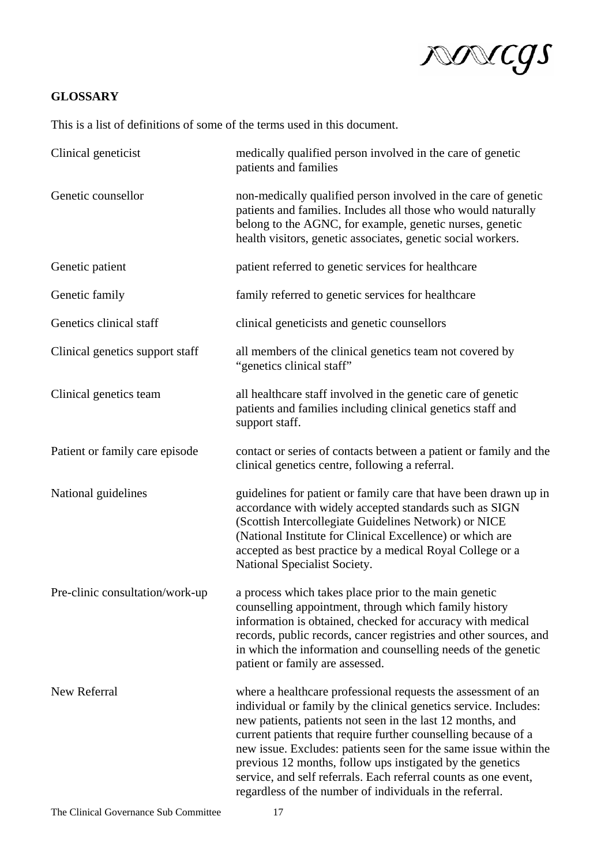

### **GLOSSARY**

This is a list of definitions of some of the terms used in this document.

| Clinical geneticist             | medically qualified person involved in the care of genetic<br>patients and families                                                                                                                                                                                                                                                                                                                                                                                                                                               |
|---------------------------------|-----------------------------------------------------------------------------------------------------------------------------------------------------------------------------------------------------------------------------------------------------------------------------------------------------------------------------------------------------------------------------------------------------------------------------------------------------------------------------------------------------------------------------------|
| Genetic counsellor              | non-medically qualified person involved in the care of genetic<br>patients and families. Includes all those who would naturally<br>belong to the AGNC, for example, genetic nurses, genetic<br>health visitors, genetic associates, genetic social workers.                                                                                                                                                                                                                                                                       |
| Genetic patient                 | patient referred to genetic services for healthcare                                                                                                                                                                                                                                                                                                                                                                                                                                                                               |
| Genetic family                  | family referred to genetic services for healthcare                                                                                                                                                                                                                                                                                                                                                                                                                                                                                |
| Genetics clinical staff         | clinical geneticists and genetic counsellors                                                                                                                                                                                                                                                                                                                                                                                                                                                                                      |
| Clinical genetics support staff | all members of the clinical genetics team not covered by<br>"genetics clinical staff"                                                                                                                                                                                                                                                                                                                                                                                                                                             |
| Clinical genetics team          | all healthcare staff involved in the genetic care of genetic<br>patients and families including clinical genetics staff and<br>support staff.                                                                                                                                                                                                                                                                                                                                                                                     |
| Patient or family care episode  | contact or series of contacts between a patient or family and the<br>clinical genetics centre, following a referral.                                                                                                                                                                                                                                                                                                                                                                                                              |
| National guidelines             | guidelines for patient or family care that have been drawn up in<br>accordance with widely accepted standards such as SIGN<br>(Scottish Intercollegiate Guidelines Network) or NICE<br>(National Institute for Clinical Excellence) or which are<br>accepted as best practice by a medical Royal College or a<br>National Specialist Society.                                                                                                                                                                                     |
| Pre-clinic consultation/work-up | a process which takes place prior to the main genetic<br>counselling appointment, through which family history<br>information is obtained, checked for accuracy with medical<br>records, public records, cancer registries and other sources, and<br>in which the information and counselling needs of the genetic<br>patient or family are assessed.                                                                                                                                                                             |
| New Referral                    | where a healthcare professional requests the assessment of an<br>individual or family by the clinical genetics service. Includes:<br>new patients, patients not seen in the last 12 months, and<br>current patients that require further counselling because of a<br>new issue. Excludes: patients seen for the same issue within the<br>previous 12 months, follow ups instigated by the genetics<br>service, and self referrals. Each referral counts as one event,<br>regardless of the number of individuals in the referral. |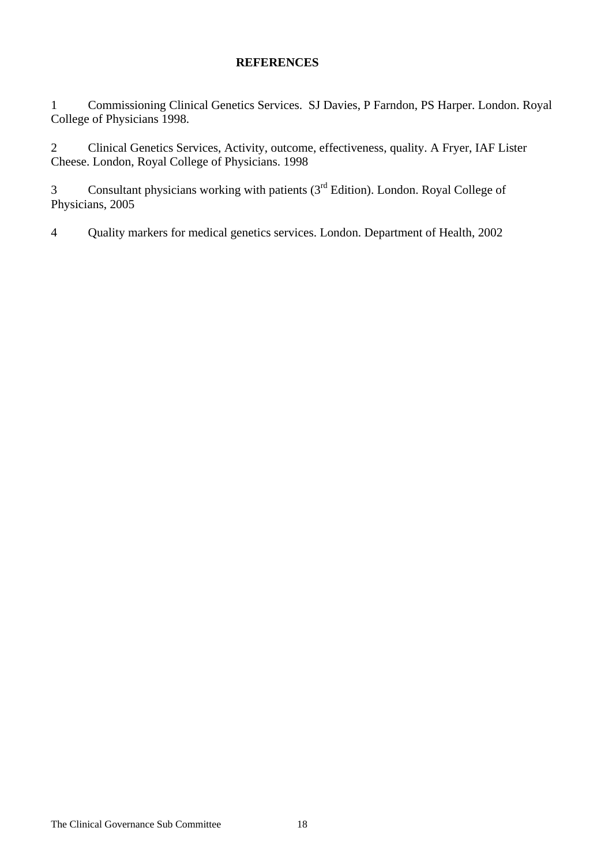### **REFERENCES**

1 Commissioning Clinical Genetics Services. SJ Davies, P Farndon, PS Harper. London. Royal College of Physicians 1998.

2 Clinical Genetics Services, Activity, outcome, effectiveness, quality. A Fryer, IAF Lister Cheese. London, Royal College of Physicians. 1998

3 Consultant physicians working with patients (3<sup>rd</sup> Edition). London. Royal College of Physicians, 2005

4 Quality markers for medical genetics services. London. Department of Health, 2002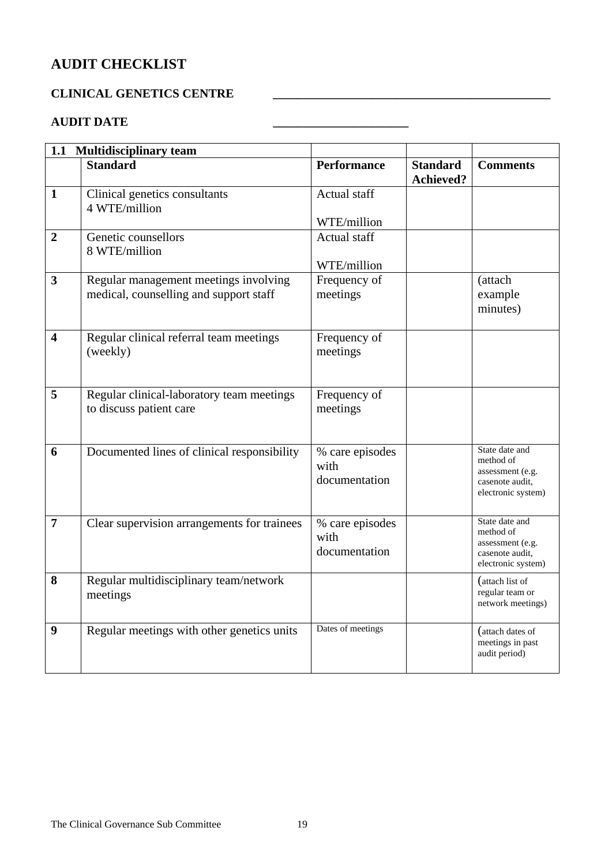# **AUDIT CHECKLIST**

### **CLINICAL GENETICS CENTRE \_\_\_\_\_\_\_\_\_\_\_\_\_\_\_\_\_\_\_\_\_\_\_\_\_\_\_\_\_\_\_\_\_\_\_\_\_\_\_\_\_\_\_\_\_**

## **AUDIT DATE \_\_\_\_\_\_\_\_\_\_\_\_\_\_\_\_\_\_\_\_\_\_**

|                         | 1.1 Multidisciplinary team                                                      |                                          |                                     |                                                                                          |
|-------------------------|---------------------------------------------------------------------------------|------------------------------------------|-------------------------------------|------------------------------------------------------------------------------------------|
|                         | <b>Standard</b>                                                                 | <b>Performance</b>                       | <b>Standard</b><br><b>Achieved?</b> | <b>Comments</b>                                                                          |
| $\mathbf{1}$            | Clinical genetics consultants<br>4 WTE/million                                  | <b>Actual staff</b>                      |                                     |                                                                                          |
|                         |                                                                                 | WTE/million                              |                                     |                                                                                          |
| $\overline{2}$          | Genetic counsellors<br>8 WTE/million                                            | Actual staff                             |                                     |                                                                                          |
| $\overline{\mathbf{3}}$ | Regular management meetings involving<br>medical, counselling and support staff | WTE/million<br>Frequency of<br>meetings  |                                     | (attach<br>example<br>minutes)                                                           |
| 4                       | Regular clinical referral team meetings<br>(weekly)                             | Frequency of<br>meetings                 |                                     |                                                                                          |
| 5                       | Regular clinical-laboratory team meetings<br>to discuss patient care            | Frequency of<br>meetings                 |                                     |                                                                                          |
| 6                       | Documented lines of clinical responsibility                                     | % care episodes<br>with<br>documentation |                                     | State date and<br>method of<br>assessment (e.g.<br>casenote audit,<br>electronic system) |
| $\overline{7}$          | Clear supervision arrangements for trainees                                     | % care episodes<br>with<br>documentation |                                     | State date and<br>method of<br>assessment (e.g.<br>casenote audit,<br>electronic system) |
| 8                       | Regular multidisciplinary team/network<br>meetings                              |                                          |                                     | (attach list of<br>regular team or<br>network meetings)                                  |
| 9                       | Regular meetings with other genetics units                                      | Dates of meetings                        |                                     | (attach dates of<br>meetings in past<br>audit period)                                    |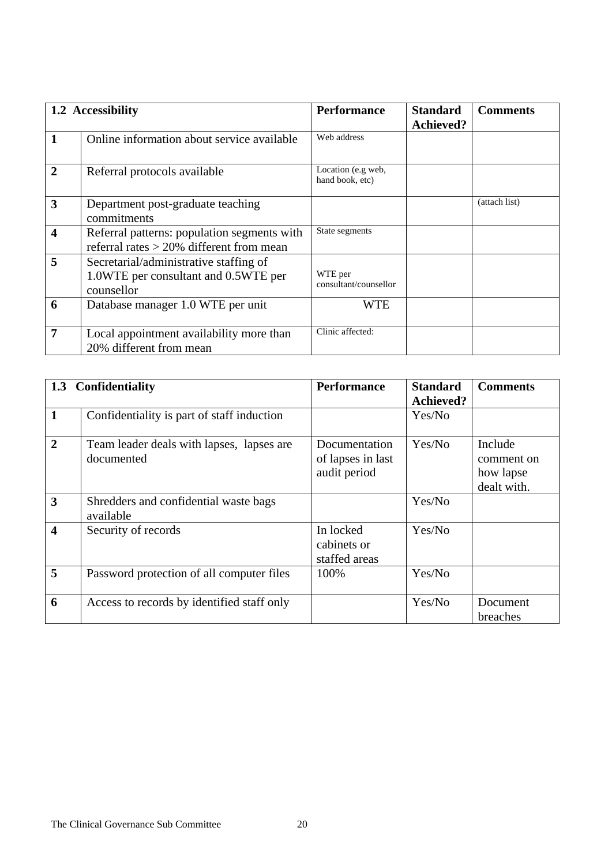|                         | 1.2 Accessibility                                                                            | <b>Performance</b>                    | <b>Standard</b><br><b>Achieved?</b> | <b>Comments</b> |
|-------------------------|----------------------------------------------------------------------------------------------|---------------------------------------|-------------------------------------|-----------------|
| $\mathbf{1}$            | Online information about service available                                                   | Web address                           |                                     |                 |
| $\overline{2}$          | Referral protocols available                                                                 | Location (e.g web,<br>hand book, etc) |                                     |                 |
| $\overline{3}$          | Department post-graduate teaching<br>commitments                                             |                                       |                                     | (attach list)   |
| $\overline{\mathbf{4}}$ | Referral patterns: population segments with<br>referral rates $>$ 20% different from mean    | State segments                        |                                     |                 |
| 5                       | Secretarial/administrative staffing of<br>1.0WTE per consultant and 0.5WTE per<br>counsellor | WTE per<br>consultant/counsellor      |                                     |                 |
| 6                       | Database manager 1.0 WTE per unit                                                            | WTE                                   |                                     |                 |
| $\overline{7}$          | Local appointment availability more than<br>20% different from mean                          | Clinic affected:                      |                                     |                 |

|                         | 1.3 Confidentiality                                     | <b>Performance</b>                                 | <b>Standard</b><br><b>Achieved?</b> | <b>Comments</b>                                   |
|-------------------------|---------------------------------------------------------|----------------------------------------------------|-------------------------------------|---------------------------------------------------|
| $\mathbf{1}$            | Confidentiality is part of staff induction              |                                                    | Yes/No                              |                                                   |
| $\overline{2}$          | Team leader deals with lapses, lapses are<br>documented | Documentation<br>of lapses in last<br>audit period | Yes/No                              | Include<br>comment on<br>how lapse<br>dealt with. |
| $\overline{3}$          | Shredders and confidential waste bags<br>available      |                                                    | Yes/No                              |                                                   |
| $\overline{\mathbf{4}}$ | Security of records                                     | In locked<br>cabinets or<br>staffed areas          | Yes/No                              |                                                   |
| 5                       | Password protection of all computer files               | 100%                                               | Yes/No                              |                                                   |
| 6                       | Access to records by identified staff only              |                                                    | Yes/No                              | Document<br>breaches                              |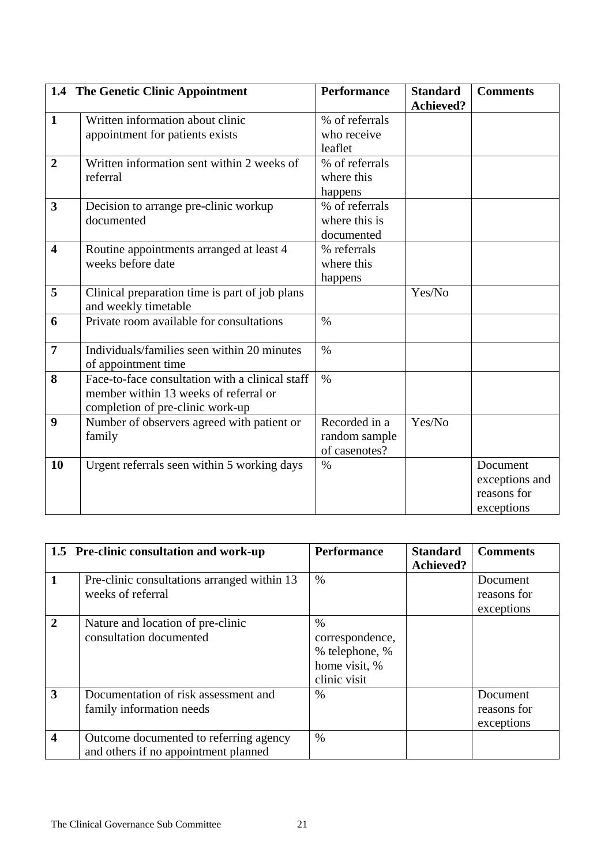|                         | 1.4 The Genetic Clinic Appointment                                                                                           | <b>Performance</b>                              | <b>Standard</b><br><b>Achieved?</b> | <b>Comments</b>                                         |
|-------------------------|------------------------------------------------------------------------------------------------------------------------------|-------------------------------------------------|-------------------------------------|---------------------------------------------------------|
| $\mathbf{1}$            | Written information about clinic<br>appointment for patients exists                                                          | % of referrals<br>who receive<br>leaflet        |                                     |                                                         |
| $\overline{2}$          | Written information sent within 2 weeks of<br>referral                                                                       | % of referrals<br>where this<br>happens         |                                     |                                                         |
| $\overline{\mathbf{3}}$ | Decision to arrange pre-clinic workup<br>documented                                                                          | % of referrals<br>where this is<br>documented   |                                     |                                                         |
| $\overline{\mathbf{4}}$ | Routine appointments arranged at least 4<br>weeks before date                                                                | % referrals<br>where this<br>happens            |                                     |                                                         |
| 5                       | Clinical preparation time is part of job plans<br>and weekly timetable                                                       |                                                 | Yes/No                              |                                                         |
| 6                       | Private room available for consultations                                                                                     | $\frac{0}{0}$                                   |                                     |                                                         |
| $\overline{7}$          | Individuals/families seen within 20 minutes<br>of appointment time                                                           | $\%$                                            |                                     |                                                         |
| 8                       | Face-to-face consultation with a clinical staff<br>member within 13 weeks of referral or<br>completion of pre-clinic work-up | $\%$                                            |                                     |                                                         |
| $\boldsymbol{9}$        | Number of observers agreed with patient or<br>family                                                                         | Recorded in a<br>random sample<br>of casenotes? | Yes/No                              |                                                         |
| 10                      | Urgent referrals seen within 5 working days                                                                                  | $\%$                                            |                                     | Document<br>exceptions and<br>reasons for<br>exceptions |

|                       | 1.5 Pre-clinic consultation and work-up                                        | <b>Performance</b>                                                         | <b>Standard</b><br><b>Achieved?</b> | <b>Comments</b>                       |
|-----------------------|--------------------------------------------------------------------------------|----------------------------------------------------------------------------|-------------------------------------|---------------------------------------|
|                       | Pre-clinic consultations arranged within 13<br>weeks of referral               | $\%$                                                                       |                                     | Document<br>reasons for<br>exceptions |
| $\mathcal{D}_{\cdot}$ | Nature and location of pre-clinic<br>consultation documented                   | $\%$<br>correspondence,<br>% telephone, %<br>home visit, %<br>clinic visit |                                     |                                       |
| 3                     | Documentation of risk assessment and<br>family information needs               | $\%$                                                                       |                                     | Document<br>reasons for<br>exceptions |
| 4                     | Outcome documented to referring agency<br>and others if no appointment planned | $\%$                                                                       |                                     |                                       |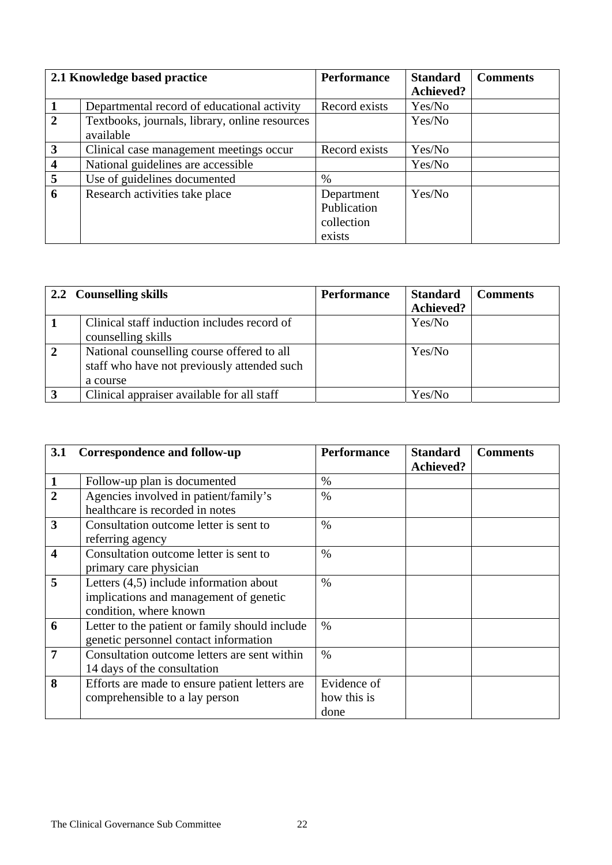|                         | 2.1 Knowledge based practice                   | <b>Performance</b> | <b>Standard</b>  | <b>Comments</b> |
|-------------------------|------------------------------------------------|--------------------|------------------|-----------------|
|                         |                                                |                    | <b>Achieved?</b> |                 |
|                         | Departmental record of educational activity    | Record exists      | Yes/No           |                 |
| $\mathbf{2}$            | Textbooks, journals, library, online resources |                    | Yes/No           |                 |
|                         | available                                      |                    |                  |                 |
| 3                       | Clinical case management meetings occur        | Record exists      | Yes/No           |                 |
| $\overline{\mathbf{4}}$ | National guidelines are accessible             |                    | Yes/No           |                 |
| 5                       | Use of guidelines documented                   | $\%$               |                  |                 |
| 6                       | Research activities take place                 | Department         | Yes/No           |                 |
|                         |                                                | Publication        |                  |                 |
|                         |                                                | collection         |                  |                 |
|                         |                                                | exists             |                  |                 |

|                         | 2.2 Counselling skills                      | <b>Performance</b> | <b>Standard</b>  | <b>Comments</b> |
|-------------------------|---------------------------------------------|--------------------|------------------|-----------------|
|                         |                                             |                    | <b>Achieved?</b> |                 |
|                         | Clinical staff induction includes record of |                    | Yes/No           |                 |
|                         | counselling skills                          |                    |                  |                 |
| $\overline{2}$          | National counselling course offered to all  |                    | Yes/No           |                 |
|                         | staff who have not previously attended such |                    |                  |                 |
|                         | a course                                    |                    |                  |                 |
| $\overline{\mathbf{3}}$ | Clinical appraiser available for all staff  |                    | Yes/No           |                 |

| 3.1                     | <b>Correspondence and follow-up</b>                                                                           | <b>Performance</b>                 | <b>Standard</b><br><b>Achieved?</b> | <b>Comments</b> |
|-------------------------|---------------------------------------------------------------------------------------------------------------|------------------------------------|-------------------------------------|-----------------|
| $\mathbf{1}$            | Follow-up plan is documented                                                                                  | $\%$                               |                                     |                 |
| $\overline{2}$          | Agencies involved in patient/family's<br>healthcare is recorded in notes                                      | $\%$                               |                                     |                 |
| $\overline{\mathbf{3}}$ | Consultation outcome letter is sent to<br>referring agency                                                    | $\frac{0}{0}$                      |                                     |                 |
| $\overline{\mathbf{4}}$ | Consultation outcome letter is sent to<br>primary care physician                                              | $\frac{0}{0}$                      |                                     |                 |
| 5                       | Letters $(4,5)$ include information about<br>implications and management of genetic<br>condition, where known | $\frac{0}{0}$                      |                                     |                 |
| 6                       | Letter to the patient or family should include<br>genetic personnel contact information                       | $\%$                               |                                     |                 |
| $\overline{7}$          | Consultation outcome letters are sent within<br>14 days of the consultation                                   | $\frac{0}{0}$                      |                                     |                 |
| 8                       | Efforts are made to ensure patient letters are<br>comprehensible to a lay person                              | Evidence of<br>how this is<br>done |                                     |                 |